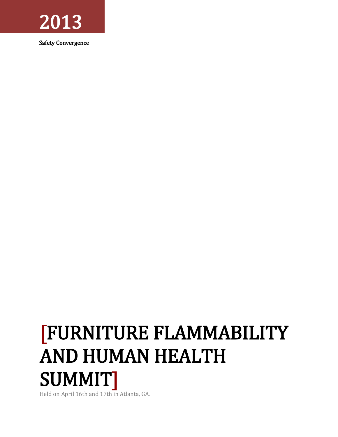

Safety Convergence

# [FURNITURE FLAMMABILITY AND HUMAN HEALTH SUMMIT]

Held on April 16th and 17th in Atlanta, GA.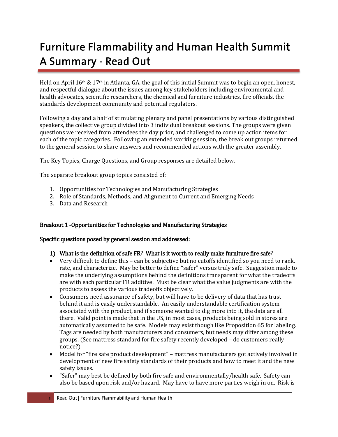# **Furniture Flammability and Human Health Summit** A Summary - Read Out

Held on April 16th & 17th in Atlanta, GA, the goal of this initial Summit was to begin an open, honest, and respectful dialogue about the issues among key stakeholders including environmental and health advocates, scientific researchers, the chemical and furniture industries, fire officials, the standards development community and potential regulators.

Following a day and a half of stimulating plenary and panel presentations by various distinguished speakers, the collective group divided into 3 individual breakout sessions. The groups were given questions we received from attendees the day prior, and challenged to come up action items for each of the topic categories. Following an extended working session, the break out groups returned to the general session to share answers and recommended actions with the greater assembly.

The Key Topics, Charge Questions, and Group responses are detailed below.

The separate breakout group topics consisted of:

- 1. Opportunities for Technologies and Manufacturing Strategies
- 2. Role of Standards, Methods, and Alignment to Current and Emerging Needs
- 3. Data and Research

#### Breakout 1 -Opportunities for Technologies and Manufacturing Strategies

#### Specific questions posed by general session and addressed:

#### 1) What is the definition of safe FR? What is it worth to really make furniture fire safe?

- Very difficult to define this can be subjective but no cutoffs identified so you need to rank, rate, and characterize. May be better to define "safer" versus truly safe. Suggestion made to make the underlying assumptions behind the definitions transparent for what the tradeoffs are with each particular FR additive. Must be clear what the value judgments are with the products to assess the various tradeoffs objectively.
- Consumers need assurance of safety, but will have to be delivery of data that has trust behind it and is easily understandable. An easily understandable certification system associated with the product, and if someone wanted to dig more into it, the data are all there. Valid point is made that in the US, in most cases, products being sold in stores are automatically assumed to be safe. Models may exist though like Proposition 65 for labeling. Tags are needed by both manufacturers and consumers, but needs may differ among these groups. (See mattress standard for fire safety recently developed – do customers really notice?)
- Model for "fire safe product development" mattress manufacturers got actively involved in development of new fire safety standards of their products and how to meet it and the new safety issues.
- "Safer" may best be defined by both fire safe and environmentally/health safe. Safety can also be based upon risk and/or hazard. May have to have more parties weigh in on. Risk is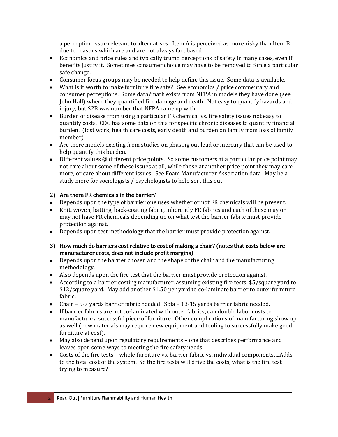a perception issue relevant to alternatives. Item A is perceived as more risky than Item B due to reasons which are and are not always fact based.

- Economics and price rules and typically trump perceptions of safety in many cases, even if benefits justify it. Sometimes consumer choice may have to be removed to force a particular safe change.
- Consumer focus groups may be needed to help define this issue. Some data is available.
- What is it worth to make furniture fire safe? See economics / price commentary and consumer perceptions. Some data/math exists from NFPA in models they have done (see John Hall) where they quantified fire damage and death. Not easy to quantify hazards and injury, but \$2B was number that NFPA came up with.
- Burden of disease from using a particular FR chemical vs. fire safety issues not easy to  $\bullet$ quantify costs. CDC has some data on this for specific chronic diseases to quantify financial burden. (lost work, health care costs, early death and burden on family from loss of family member)
- Are there models existing from studies on phasing out lead or mercury that can be used to help quantify this burden.
- Different values @ different price points. So some customers at a particular price point may not care about some of these issues at all, while those at another price point they may care more, or care about different issues. See Foam Manufacturer Association data. May be a study more for sociologists / psychologists to help sort this out.

#### 2) Are there FR chemicals in the barrier?

- Depends upon the type of barrier one uses whether or not FR chemicals will be present.
- Knit, woven, batting, back-coating fabric, inherently FR fabrics and each of these may or may not have FR chemicals depending up on what test the barrier fabric must provide protection against.
- Depends upon test methodology that the barrier must provide protection against.
- 3) How much do barriers cost relative to cost of making a chair? (notes that costs below are manufacturer costs, does not include profit margins)
- Depends upon the barrier chosen and the shape of the chair and the manufacturing methodology.
- Also depends upon the fire test that the barrier must provide protection against.
- According to a barrier costing manufacturer, assuming existing fire tests, \$5/square yard to \$12/square yard. May add another \$1.50 per yard to co-laminate barrier to outer furniture fabric.
- Chair 5-7 yards barrier fabric needed. Sofa 13-15 yards barrier fabric needed.
- If barrier fabrics are not co-laminated with outer fabrics, can double labor costs to  $\bullet$ manufacture a successful piece of furniture. Other complications of manufacturing show up as well (new materials may require new equipment and tooling to successfully make good furniture at cost).
- May also depend upon regulatory requirements one that describes performance and leaves open some ways to meeting the fire safety needs.
- Costs of the fire tests whole furniture vs. barrier fabric vs. individual components….Adds to the total cost of the system. So the fire tests will drive the costs, what is the fire test trying to measure?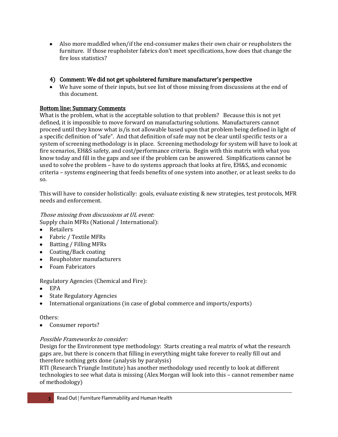Also more muddled when/if the end-consumer makes their own chair or reupholsters the furniture. If those reupholster fabrics don't meet specifications, how does that change the fire loss statistics?

### 4) Comment: We did not get upholstered furniture manufacturer's perspective

We have some of their inputs, but see list of those missing from discussions at the end of this document.

### Bottom line: Summary Comments

What is the problem, what is the acceptable solution to that problem? Because this is not yet defined, it is impossible to move forward on manufacturing solutions. Manufacturers cannot proceed until they know what is/is not allowable based upon that problem being defined in light of a specific definition of "safe". And that definition of safe may not be clear until specific tests or a system of screening methodology is in place. Screening methodology for system will have to look at fire scenarios, EH&S safety, and cost/performance criteria. Begin with this matrix with what you know today and fill in the gaps and see if the problem can be answered. Simplifications cannot be used to solve the problem – have to do systems approach that looks at fire, EH&S, and economic criteria – systems engineering that feeds benefits of one system into another, or at least seeks to do so.

This will have to consider holistically: goals, evaluate existing & new strategies, test protocols, MFR needs and enforcement.

## Those missing from discussions at UL event:

Supply chain MFRs (National / International):

- Retailers
- Fabric / Textile MFRs  $\bullet$
- Batting / Filling MFRs
- Coating/Back coating
- Reupholster manufacturers  $\bullet$
- Foam Fabricators

# Regulatory Agencies (Chemical and Fire):

- EPA  $\bullet$
- State Regulatory Agencies  $\bullet$
- International organizations (in case of global commerce and imports/exports)

#### Others:

 $\bullet$ Consumer reports?

#### Possible Frameworks to consider:

Design for the Environment type methodology: Starts creating a real matrix of what the research gaps are, but there is concern that filling in everything might take forever to really fill out and therefore nothing gets done (analysis by paralysis)

RTI (Research Triangle Institute) has another methodology used recently to look at different technologies to see what data is missing (Alex Morgan will look into this – cannot remember name of methodology)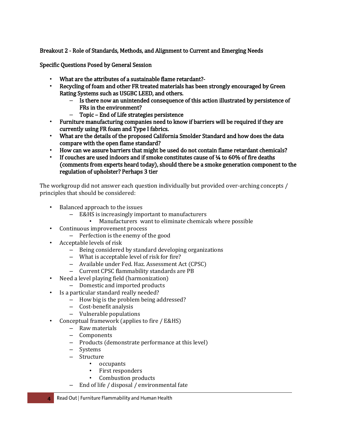Breakout 2 - Role of Standards, Methods, and Alignment to Current and Emerging Needs

Specific Questions Posed by General Session

- What are the attributes of a sustainable flame retardant?-
- Recycling of foam and other FR treated materials has been strongly encouraged by Green Rating Systems such as USGBC LEED, and others.
	- Is there now an unintended consequence of this action illustrated by persistence of FRs in the environment?
	- Topic End of Life strategies persistence
- Furniture manufacturing companies need to know if barriers will be required if they are currently using FR foam and Type I fabrics.
- What are the details of the proposed California Smolder Standard and how does the data compare with the open flame standard?
- How can we assure barriers that might be used do not contain flame retardant chemicals?
- If couches are used indoors and if smoke constitutes cause of  $\frac{1}{4}$  to 60% of fire deaths (comments from experts heard today), should there be a smoke generation component to the regulation of upholster? Perhaps 3 tier

The workgroup did not answer each question individually but provided over-arching concepts / principles that should be considered:

- Balanced approach to the issues
	- E&HS is increasingly important to manufacturers
		- Manufacturers want to eliminate chemicals where possible
- Continuous improvement process
	- Perfection is the enemy of the good
- Acceptable levels of risk
	- Being considered by standard developing organizations
	- What is acceptable level of risk for fire?
	- Available under Fed. Haz. Assessment Act (CPSC)
	- Current CPSC flammability standards are PB
- Need a level playing field (harmonization)
	- Domestic and imported products
- Is a particular standard really needed?
	- How big is the problem being addressed?
	- Cost-benefit analysis
	- Vulnerable populations
- Conceptual framework (applies to fire / E&HS)
	- Raw materials
	- Components
	- Products (demonstrate performance at this level)
	- Systems
	- Structure
		- occupants
		- First responders
		- Combustion products
	- End of life / disposal / environmental fate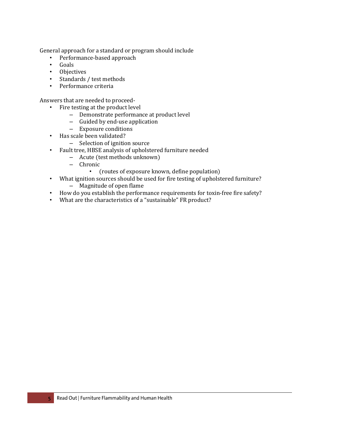General approach for a standard or program should include

- Performance-based approach
- Goals
- Objectives
- Standards / test methods
- Performance criteria

Answers that are needed to proceed-

- Fire testing at the product level
	- Demonstrate performance at product level
	- Guided by end-use application
	- Exposure conditions
- Has scale been validated?
	- Selection of ignition source
- Fault tree, HBSE analysis of upholstered furniture needed
	- Acute (test methods unknown)
	- Chronic
		- (routes of exposure known, define population)
- What ignition sources should be used for fire testing of upholstered furniture?
	- Magnitude of open flame
- How do you establish the performance requirements for toxin-free fire safety?
- What are the characteristics of a "sustainable" FR product?